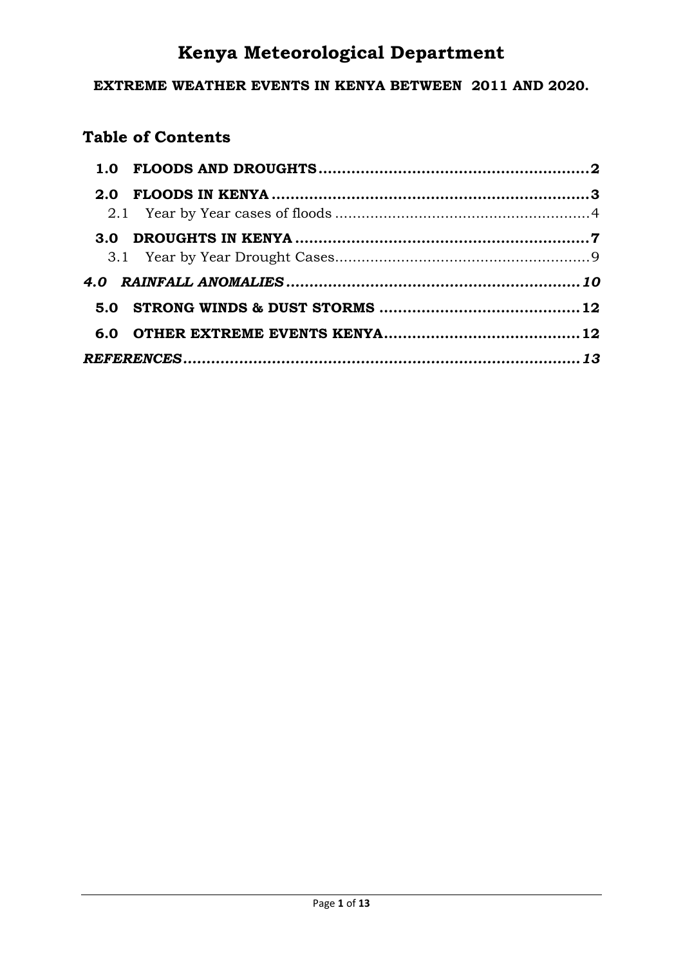# **Kenya Meteorological Department**

#### **EXTREME WEATHER EVENTS IN KENYA BETWEEN 2011 AND 2020.**

# **Table of Contents**

| 2.0 |  |
|-----|--|
|     |  |
|     |  |
|     |  |
|     |  |
|     |  |
|     |  |
|     |  |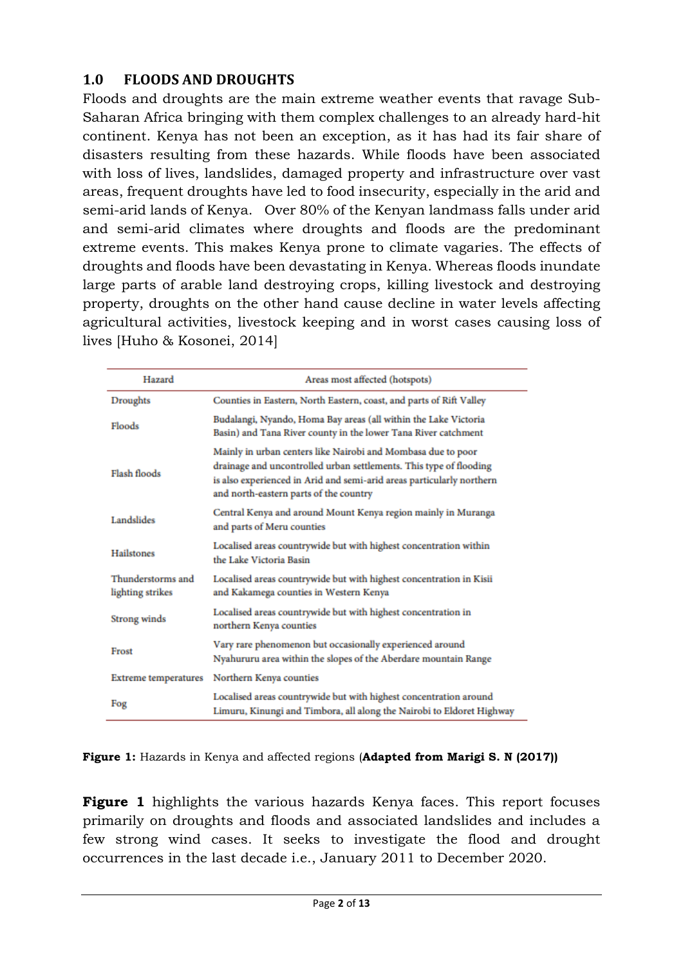### <span id="page-1-0"></span>**1.0 FLOODS AND DROUGHTS**

Floods and droughts are the main extreme weather events that ravage Sub-Saharan Africa bringing with them complex challenges to an already hard-hit continent. Kenya has not been an exception, as it has had its fair share of disasters resulting from these hazards. While floods have been associated with loss of lives, landslides, damaged property and infrastructure over vast areas, frequent droughts have led to food insecurity, especially in the arid and semi-arid lands of Kenya. Over 80% of the Kenyan landmass falls under arid and semi-arid climates where droughts and floods are the predominant extreme events. This makes Kenya prone to climate vagaries. The effects of droughts and floods have been devastating in Kenya. Whereas floods inundate large parts of arable land destroying crops, killing livestock and destroying property, droughts on the other hand cause decline in water levels affecting agricultural activities, livestock keeping and in worst cases causing loss of lives [Huho & Kosonei, 2014]

| Hazard                                | Areas most affected (hotspots)                                                                                                                                                                                                                        |
|---------------------------------------|-------------------------------------------------------------------------------------------------------------------------------------------------------------------------------------------------------------------------------------------------------|
| Droughts                              | Counties in Eastern, North Eastern, coast, and parts of Rift Valley                                                                                                                                                                                   |
| Floods                                | Budalangi, Nyando, Homa Bay areas (all within the Lake Victoria<br>Basin) and Tana River county in the lower Tana River catchment                                                                                                                     |
| Flash floods                          | Mainly in urban centers like Nairobi and Mombasa due to poor<br>drainage and uncontrolled urban settlements. This type of flooding<br>is also experienced in Arid and semi-arid areas particularly northern<br>and north-eastern parts of the country |
| Landslides                            | Central Kenya and around Mount Kenya region mainly in Muranga<br>and parts of Meru counties                                                                                                                                                           |
| Hailstones                            | Localised areas countrywide but with highest concentration within<br>the Lake Victoria Basin                                                                                                                                                          |
| Thunderstorms and<br>lighting strikes | Localised areas countrywide but with highest concentration in Kisii<br>and Kakamega counties in Western Kenya                                                                                                                                         |
| Strong winds                          | Localised areas countrywide but with highest concentration in<br>northern Kenya counties                                                                                                                                                              |
| Frost                                 | Vary rare phenomenon but occasionally experienced around<br>Nyahururu area within the slopes of the Aberdare mountain Range                                                                                                                           |
| <b>Extreme temperatures</b>           | Northern Kenya counties                                                                                                                                                                                                                               |
| Fog                                   | Localised areas countrywide but with highest concentration around<br>Limuru, Kinungi and Timbora, all along the Nairobi to Eldoret Highway                                                                                                            |

**Figure 1:** Hazards in Kenya and affected regions (**Adapted from Marigi S. N (2017))**

**Figure 1** highlights the various hazards Kenya faces. This report focuses primarily on droughts and floods and associated landslides and includes a few strong wind cases. It seeks to investigate the flood and drought occurrences in the last decade i.e., January 2011 to December 2020.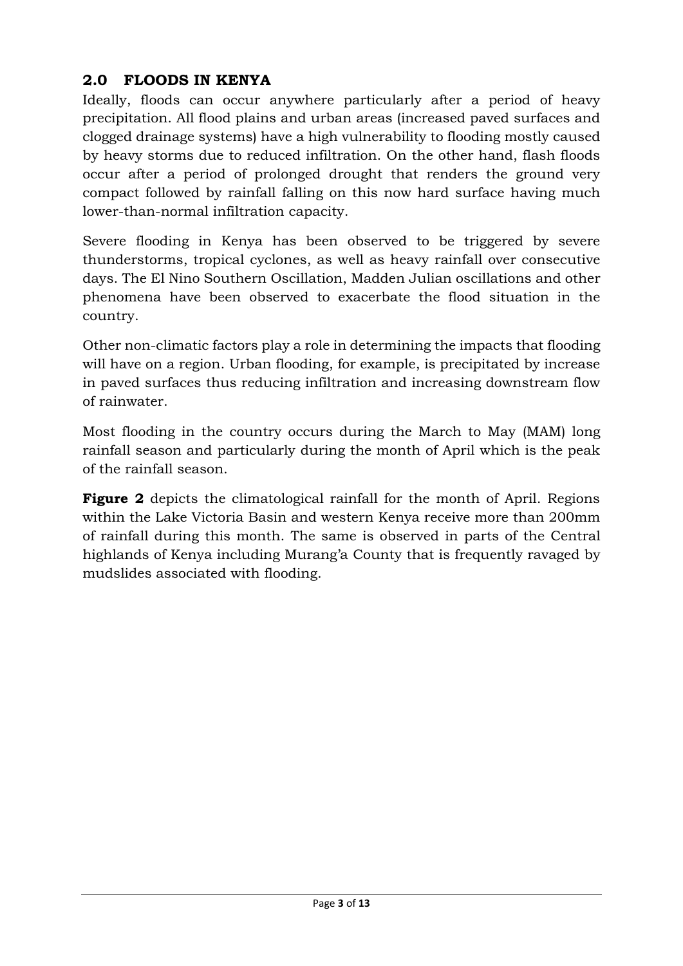# <span id="page-2-0"></span>**2.0 FLOODS IN KENYA**

Ideally, floods can occur anywhere particularly after a period of heavy precipitation. All flood plains and urban areas (increased paved surfaces and clogged drainage systems) have a high vulnerability to flooding mostly caused by heavy storms due to reduced infiltration. On the other hand, flash floods occur after a period of prolonged drought that renders the ground very compact followed by rainfall falling on this now hard surface having much lower-than-normal infiltration capacity.

Severe flooding in Kenya has been observed to be triggered by severe thunderstorms, tropical cyclones, as well as heavy rainfall over consecutive days. The El Nino Southern Oscillation, Madden Julian oscillations and other phenomena have been observed to exacerbate the flood situation in the country.

Other non-climatic factors play a role in determining the impacts that flooding will have on a region. Urban flooding, for example, is precipitated by increase in paved surfaces thus reducing infiltration and increasing downstream flow of rainwater.

Most flooding in the country occurs during the March to May (MAM) long rainfall season and particularly during the month of April which is the peak of the rainfall season.

**Figure 2** depicts the climatological rainfall for the month of April. Regions within the Lake Victoria Basin and western Kenya receive more than 200mm of rainfall during this month. The same is observed in parts of the Central highlands of Kenya including Murang'a County that is frequently ravaged by mudslides associated with flooding.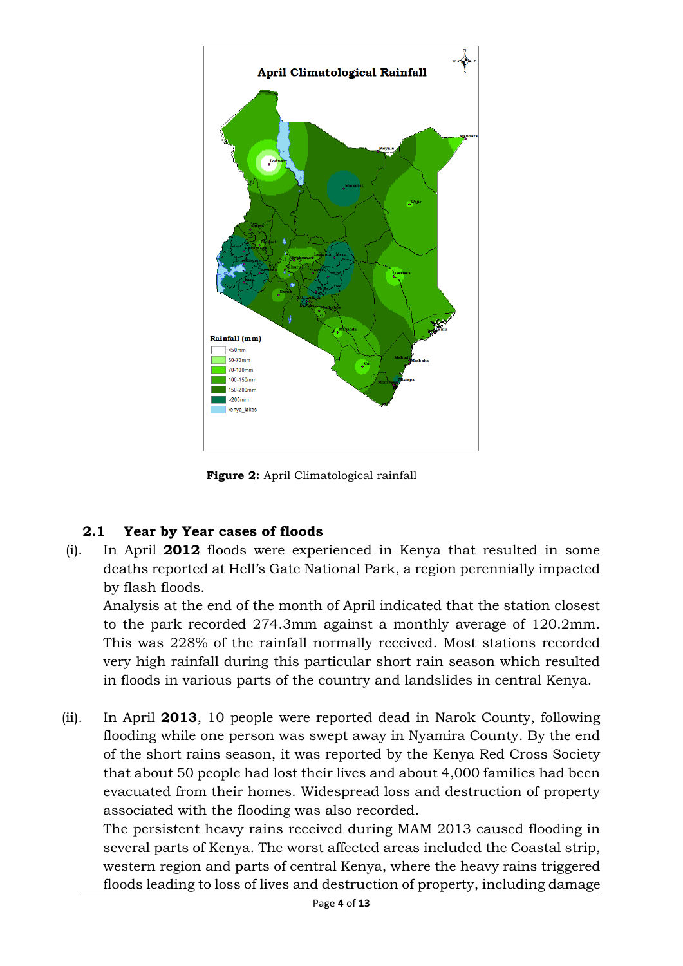

**Figure 2:** April Climatological rainfall

# <span id="page-3-0"></span>**2.1 Year by Year cases of floods**

(i). In April **2012** floods were experienced in Kenya that resulted in some deaths reported at Hell's Gate National Park, a region perennially impacted by flash floods.

Analysis at the end of the month of April indicated that the station closest to the park recorded 274.3mm against a monthly average of 120.2mm. This was 228% of the rainfall normally received. Most stations recorded very high rainfall during this particular short rain season which resulted in floods in various parts of the country and landslides in central Kenya.

(ii). In April **2013**, 10 people were reported dead in Narok County, following flooding while one person was swept away in Nyamira County. By the end of the short rains season, it was reported by the Kenya Red Cross Society that about 50 people had lost their lives and about 4,000 families had been evacuated from their homes. Widespread loss and destruction of property associated with the flooding was also recorded.

The persistent heavy rains received during MAM 2013 caused flooding in several parts of Kenya. The worst affected areas included the Coastal strip, western region and parts of central Kenya, where the heavy rains triggered floods leading to loss of lives and destruction of property, including damage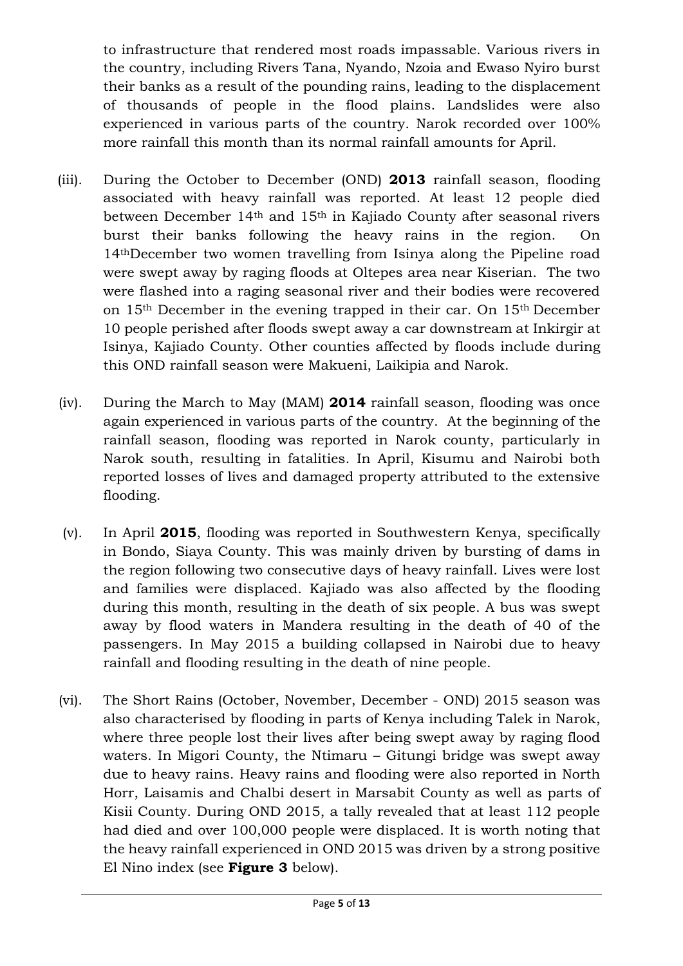to infrastructure that rendered most roads impassable. Various rivers in the country, including Rivers Tana, Nyando, Nzoia and Ewaso Nyiro burst their banks as a result of the pounding rains, leading to the displacement of thousands of people in the flood plains. Landslides were also experienced in various parts of the country. Narok recorded over 100% more rainfall this month than its normal rainfall amounts for April.

- (iii). During the October to December (OND) **2013** rainfall season, flooding associated with heavy rainfall was reported. At least 12 people died between December 14th and 15th in Kajiado County after seasonal rivers burst their banks following the heavy rains in the region. On 14thDecember two women travelling from Isinya along the Pipeline road were swept away by raging floods at Oltepes area near Kiserian. The two were flashed into a raging seasonal river and their bodies were recovered on 15th December in the evening trapped in their car. On 15th December 10 people perished after floods swept away a car downstream at Inkirgir at Isinya, Kajiado County. Other counties affected by floods include during this OND rainfall season were Makueni, Laikipia and Narok.
- (iv). During the March to May (MAM) **2014** rainfall season, flooding was once again experienced in various parts of the country. At the beginning of the rainfall season, flooding was reported in Narok county, particularly in Narok south, resulting in fatalities. In April, Kisumu and Nairobi both reported losses of lives and damaged property attributed to the extensive flooding.
- (v). In April **2015**, flooding was reported in Southwestern Kenya, specifically in Bondo, Siaya County. This was mainly driven by bursting of dams in the region following two consecutive days of heavy rainfall. Lives were lost and families were displaced. Kajiado was also affected by the flooding during this month, resulting in the death of six people. A bus was swept away by flood waters in Mandera resulting in the death of 40 of the passengers. In May 2015 a building collapsed in Nairobi due to heavy rainfall and flooding resulting in the death of nine people.
- (vi). The Short Rains (October, November, December OND) 2015 season was also characterised by flooding in parts of Kenya including Talek in Narok, where three people lost their lives after being swept away by raging flood waters. In Migori County, the Ntimaru – Gitungi bridge was swept away due to heavy rains. Heavy rains and flooding were also reported in North Horr, Laisamis and Chalbi desert in Marsabit County as well as parts of Kisii County. During OND 2015, a tally revealed that at least 112 people had died and over 100,000 people were displaced. It is worth noting that the heavy rainfall experienced in OND 2015 was driven by a strong positive El Nino index (see **Figure 3** below).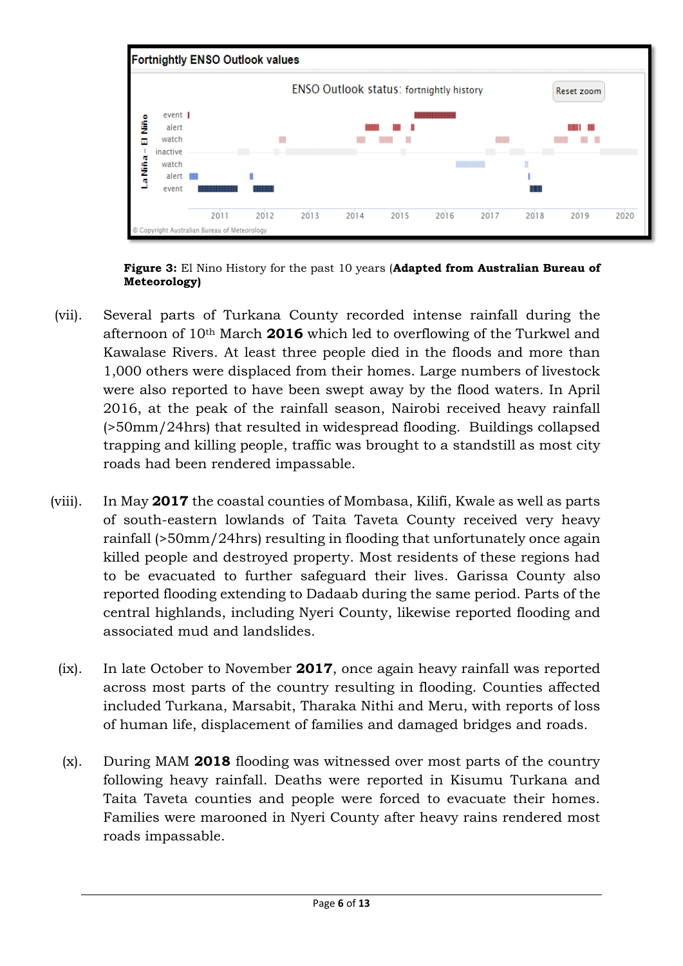

**Figure 3:** El Nino History for the past 10 years (**Adapted from Australian Bureau of Meteorology)**

- (vii). Several parts of Turkana County recorded intense rainfall during the afternoon of 10th March **2016** which led to overflowing of the Turkwel and Kawalase Rivers. At least three people died in the floods and more than 1,000 others were displaced from their homes. Large numbers of livestock were also reported to have been swept away by the flood waters. In April 2016, at the peak of the rainfall season, Nairobi received heavy rainfall (>50mm/24hrs) that resulted in widespread flooding. Buildings collapsed trapping and killing people, traffic was brought to a standstill as most city roads had been rendered impassable.
- (viii). In May **2017** the coastal counties of Mombasa, Kilifi, Kwale as well as parts of south-eastern lowlands of Taita Taveta County received very heavy rainfall (>50mm/24hrs) resulting in flooding that unfortunately once again killed people and destroyed property. Most residents of these regions had to be evacuated to further safeguard their lives. Garissa County also reported flooding extending to Dadaab during the same period. Parts of the central highlands, including Nyeri County, likewise reported flooding and associated mud and landslides.
	- (ix). In late October to November **2017**, once again heavy rainfall was reported across most parts of the country resulting in flooding. Counties affected included Turkana, Marsabit, Tharaka Nithi and Meru, with reports of loss of human life, displacement of families and damaged bridges and roads.
	- (x). During MAM **2018** flooding was witnessed over most parts of the country following heavy rainfall. Deaths were reported in Kisumu Turkana and Taita Taveta counties and people were forced to evacuate their homes. Families were marooned in Nyeri County after heavy rains rendered most roads impassable.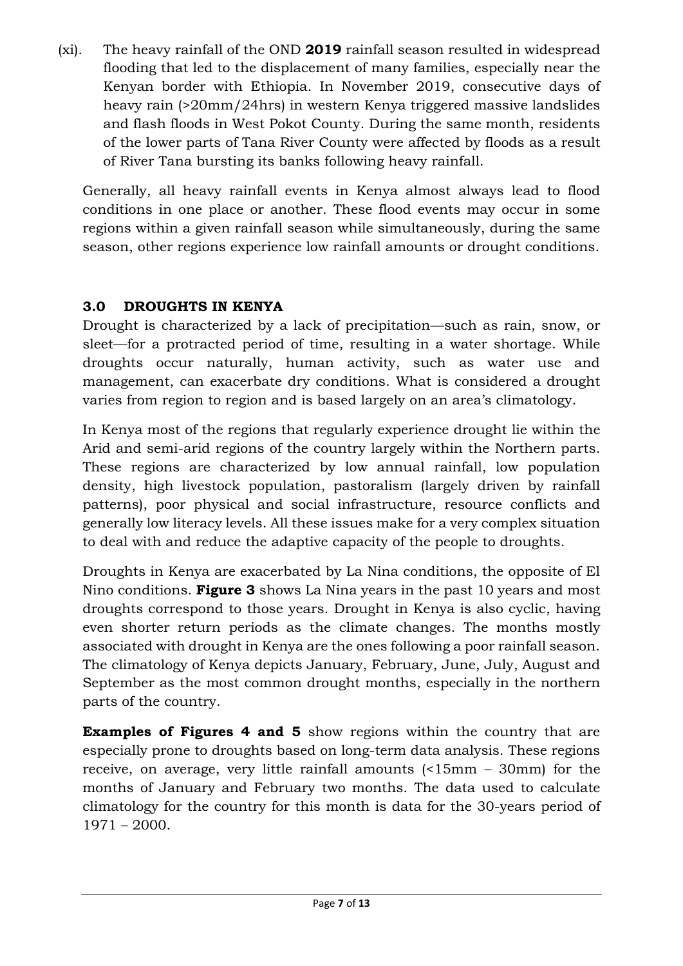(xi). The heavy rainfall of the OND **2019** rainfall season resulted in widespread flooding that led to the displacement of many families, especially near the Kenyan border with Ethiopia. In November 2019, consecutive days of heavy rain (>20mm/24hrs) in western Kenya triggered massive landslides and flash floods in West Pokot County. During the same month, residents of the lower parts of Tana River County were affected by floods as a result of River Tana bursting its banks following heavy rainfall.

Generally, all heavy rainfall events in Kenya almost always lead to flood conditions in one place or another. These flood events may occur in some regions within a given rainfall season while simultaneously, during the same season, other regions experience low rainfall amounts or drought conditions.

## <span id="page-6-0"></span>**3.0 DROUGHTS IN KENYA**

Drought is characterized by a lack of precipitation—such as rain, snow, or sleet—for a protracted period of time, resulting in a water shortage. While droughts occur naturally, human activity, such as water use and management, can exacerbate dry conditions. What is considered a drought varies from region to region and is based largely on an area's climatology.

In Kenya most of the regions that regularly experience drought lie within the Arid and semi-arid regions of the country largely within the Northern parts. These regions are characterized by low annual rainfall, low population density, high livestock population, pastoralism (largely driven by rainfall patterns), poor physical and social infrastructure, resource conflicts and generally low literacy levels. All these issues make for a very complex situation to deal with and reduce the adaptive capacity of the people to droughts.

Droughts in Kenya are exacerbated by La Nina conditions, the opposite of El Nino conditions. **Figure 3** shows La Nina years in the past 10 years and most droughts correspond to those years. Drought in Kenya is also cyclic, having even shorter return periods as the climate changes. The months mostly associated with drought in Kenya are the ones following a poor rainfall season. The climatology of Kenya depicts January, February, June, July, August and September as the most common drought months, especially in the northern parts of the country.

**Examples of Figures 4 and 5** show regions within the country that are especially prone to droughts based on long-term data analysis. These regions receive, on average, very little rainfall amounts (<15mm – 30mm) for the months of January and February two months. The data used to calculate climatology for the country for this month is data for the 30-years period of 1971 – 2000.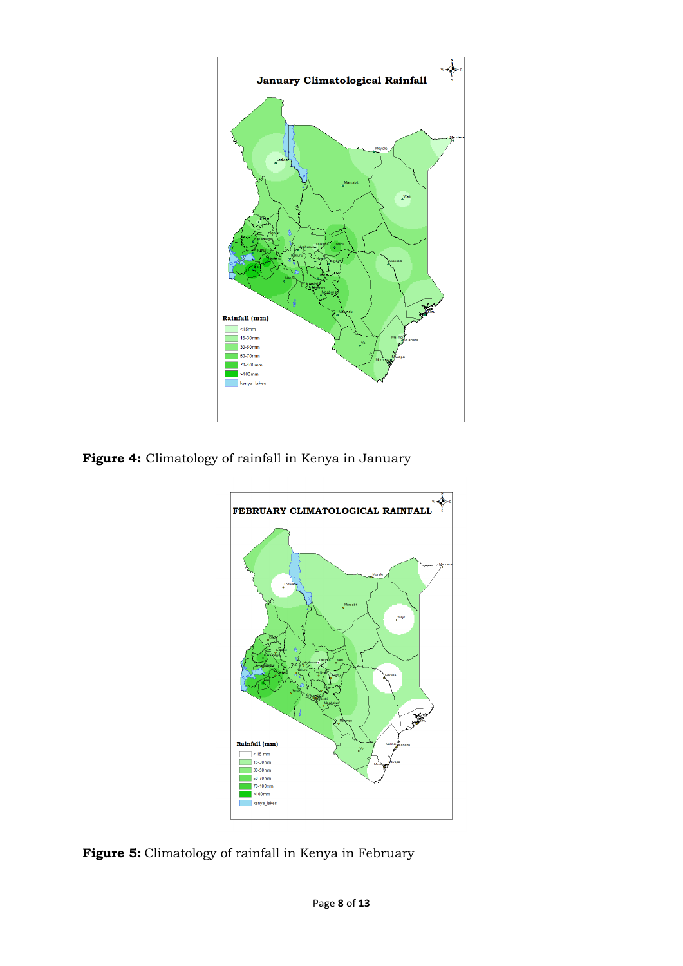

Figure 4: Climatology of rainfall in Kenya in January



**Figure 5:** Climatology of rainfall in Kenya in February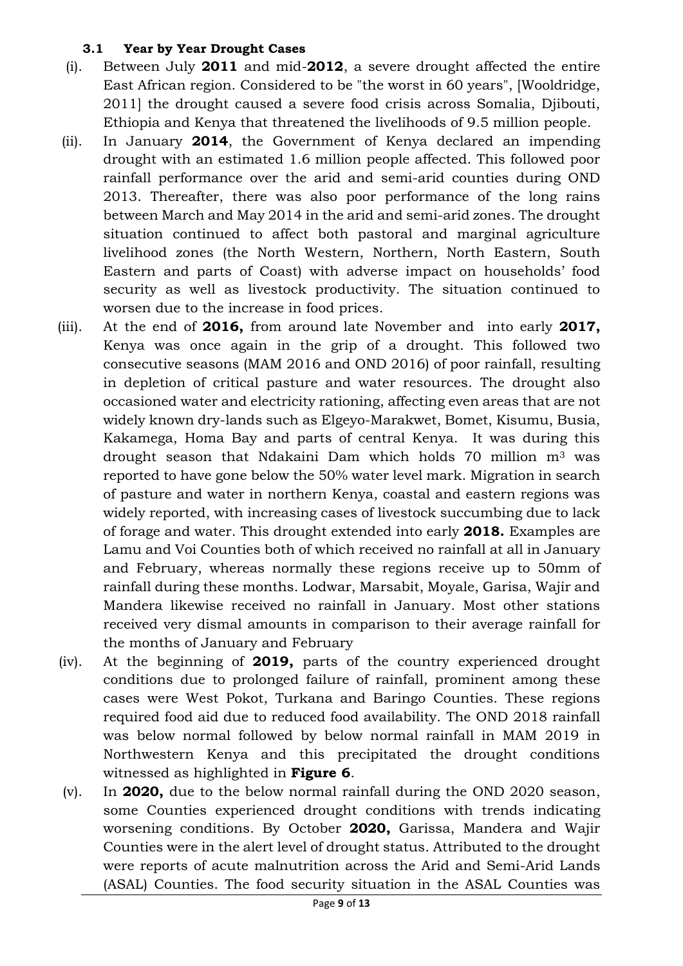#### <span id="page-8-0"></span>**3.1 Year by Year Drought Cases**

- (i). Between July **2011** and mid-**2012**, a severe drought affected the entire East African region. Considered to be "the worst in 60 years", [Wooldridge, 2011] the drought caused a severe food crisis across Somalia, Djibouti, Ethiopia and Kenya that threatened the livelihoods of 9.5 million people.
- (ii). In January **2014**, the Government of Kenya declared an impending drought with an estimated 1.6 million people affected. This followed poor rainfall performance over the arid and semi-arid counties during OND 2013. Thereafter, there was also poor performance of the long rains between March and May 2014 in the arid and semi-arid zones. The drought situation continued to affect both pastoral and marginal agriculture livelihood zones (the North Western, Northern, North Eastern, South Eastern and parts of Coast) with adverse impact on households' food security as well as livestock productivity. The situation continued to worsen due to the increase in food prices.
- (iii). At the end of **2016,** from around late November and into early **2017,** Kenya was once again in the grip of a drought. This followed two consecutive seasons (MAM 2016 and OND 2016) of poor rainfall, resulting in depletion of critical pasture and water resources. The drought also occasioned water and electricity rationing, affecting even areas that are not widely known dry-lands such as Elgeyo-Marakwet, Bomet, Kisumu, Busia, Kakamega, Homa Bay and parts of central Kenya. It was during this drought season that Ndakaini Dam which holds 70 million m<sup>3</sup> was reported to have gone below the 50% water level mark. Migration in search of pasture and water in northern Kenya, coastal and eastern regions was widely reported, with increasing cases of livestock succumbing due to lack of forage and water. This drought extended into early **2018.** Examples are Lamu and Voi Counties both of which received no rainfall at all in January and February, whereas normally these regions receive up to 50mm of rainfall during these months. Lodwar, Marsabit, Moyale, Garisa, Wajir and Mandera likewise received no rainfall in January. Most other stations received very dismal amounts in comparison to their average rainfall for the months of January and February
- (iv). At the beginning of **2019,** parts of the country experienced drought conditions due to prolonged failure of rainfall, prominent among these cases were West Pokot, Turkana and Baringo Counties. These regions required food aid due to reduced food availability. The OND 2018 rainfall was below normal followed by below normal rainfall in MAM 2019 in Northwestern Kenya and this precipitated the drought conditions witnessed as highlighted in **Figure 6**.
- (v). In **2020,** due to the below normal rainfall during the OND 2020 season, some Counties experienced drought conditions with trends indicating worsening conditions. By October **2020,** Garissa, Mandera and Wajir Counties were in the alert level of drought status. Attributed to the drought were reports of acute malnutrition across the Arid and Semi-Arid Lands (ASAL) Counties. The food security situation in the ASAL Counties was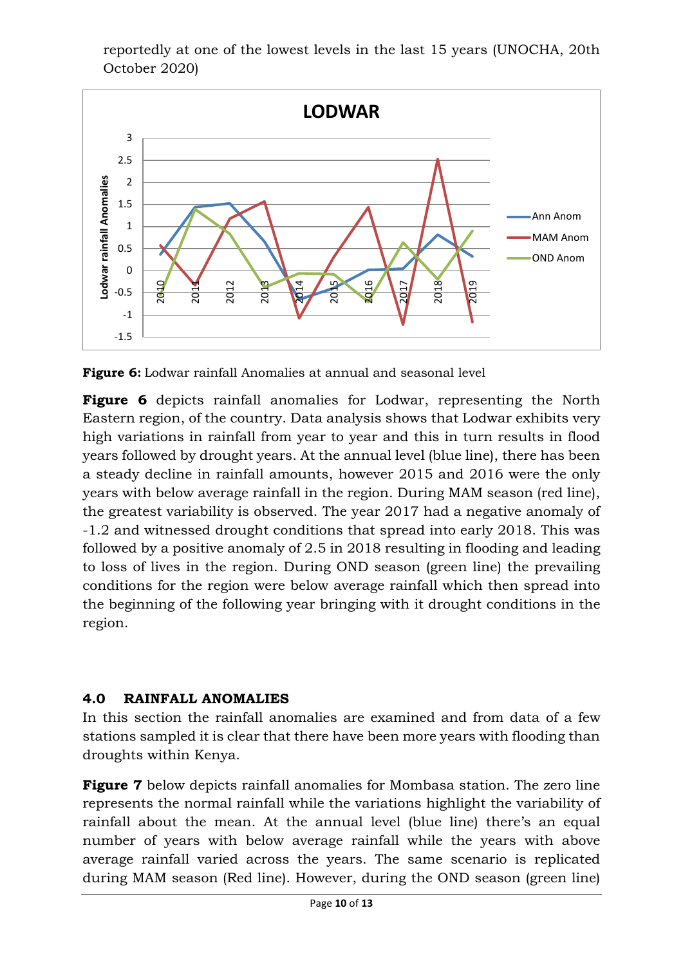reportedly at one of the lowest levels in the last 15 years (UNOCHA, 20th October 2020)



**Figure 6:** Lodwar rainfall Anomalies at annual and seasonal level

**Figure 6** depicts rainfall anomalies for Lodwar, representing the North Eastern region, of the country. Data analysis shows that Lodwar exhibits very high variations in rainfall from year to year and this in turn results in flood years followed by drought years. At the annual level (blue line), there has been a steady decline in rainfall amounts, however 2015 and 2016 were the only years with below average rainfall in the region. During MAM season (red line), the greatest variability is observed. The year 2017 had a negative anomaly of -1.2 and witnessed drought conditions that spread into early 2018. This was followed by a positive anomaly of 2.5 in 2018 resulting in flooding and leading to loss of lives in the region. During OND season (green line) the prevailing conditions for the region were below average rainfall which then spread into the beginning of the following year bringing with it drought conditions in the region.

## <span id="page-9-0"></span>**4.0 RAINFALL ANOMALIES**

In this section the rainfall anomalies are examined and from data of a few stations sampled it is clear that there have been more years with flooding than droughts within Kenya.

**Figure 7** below depicts rainfall anomalies for Mombasa station. The zero line represents the normal rainfall while the variations highlight the variability of rainfall about the mean. At the annual level (blue line) there's an equal number of years with below average rainfall while the years with above average rainfall varied across the years. The same scenario is replicated during MAM season (Red line). However, during the OND season (green line)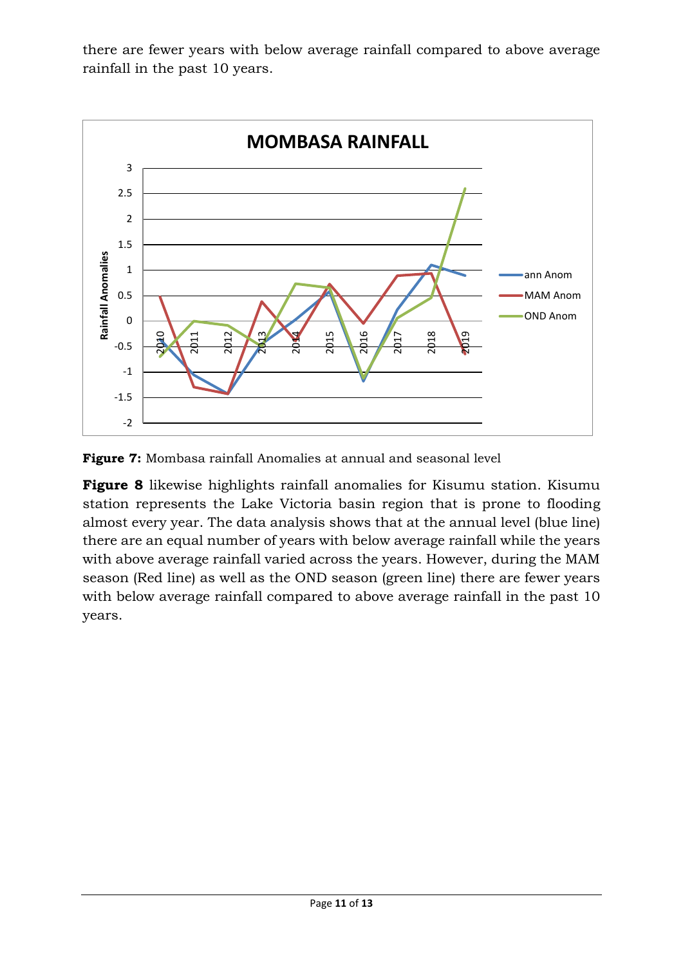there are fewer years with below average rainfall compared to above average rainfall in the past 10 years.





**Figure 8** likewise highlights rainfall anomalies for Kisumu station. Kisumu station represents the Lake Victoria basin region that is prone to flooding almost every year. The data analysis shows that at the annual level (blue line) there are an equal number of years with below average rainfall while the years with above average rainfall varied across the years. However, during the MAM season (Red line) as well as the OND season (green line) there are fewer years with below average rainfall compared to above average rainfall in the past 10 years.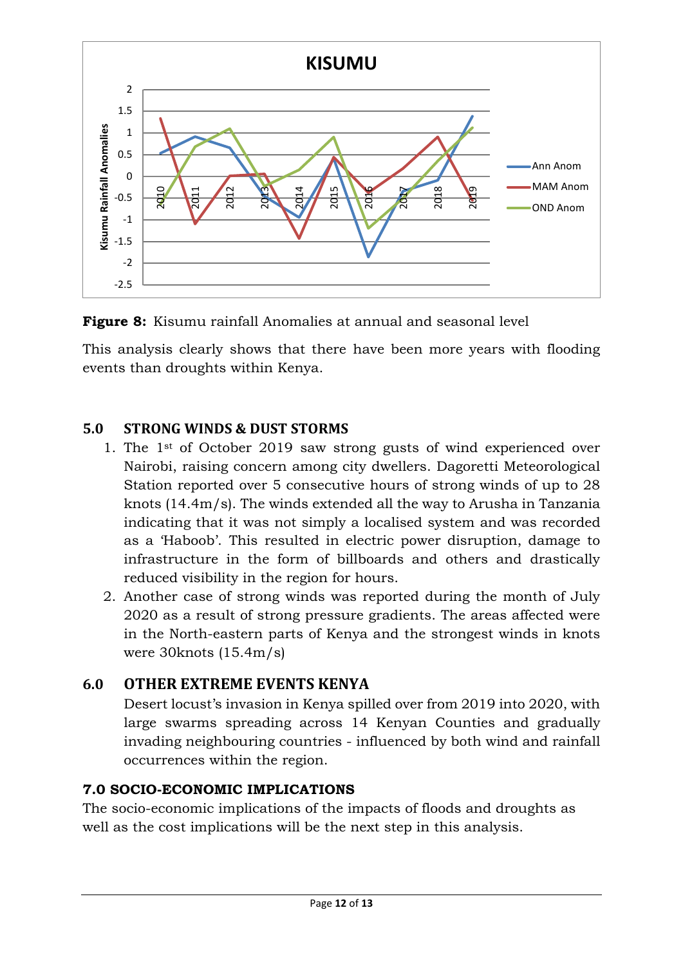

**Figure 8:** Kisumu rainfall Anomalies at annual and seasonal level

This analysis clearly shows that there have been more years with flooding events than droughts within Kenya.

# <span id="page-11-0"></span>**5.0 STRONG WINDS & DUST STORMS**

- 1. The 1st of October 2019 saw strong gusts of wind experienced over Nairobi, raising concern among city dwellers. Dagoretti Meteorological Station reported over 5 consecutive hours of strong winds of up to 28 knots (14.4m/s). The winds extended all the way to Arusha in Tanzania indicating that it was not simply a localised system and was recorded as a 'Haboob'. This resulted in electric power disruption, damage to infrastructure in the form of billboards and others and drastically reduced visibility in the region for hours.
- 2. Another case of strong winds was reported during the month of July 2020 as a result of strong pressure gradients. The areas affected were in the North-eastern parts of Kenya and the strongest winds in knots were 30knots (15.4m/s)

# <span id="page-11-1"></span>**6.0 OTHER EXTREME EVENTS KENYA**

Desert locust's invasion in Kenya spilled over from 2019 into 2020, with large swarms spreading across 14 Kenyan Counties and gradually invading neighbouring countries - influenced by both wind and rainfall occurrences within the region.

## **7.0 SOCIO-ECONOMIC IMPLICATIONS**

The socio-economic implications of the impacts of floods and droughts as well as the cost implications will be the next step in this analysis.